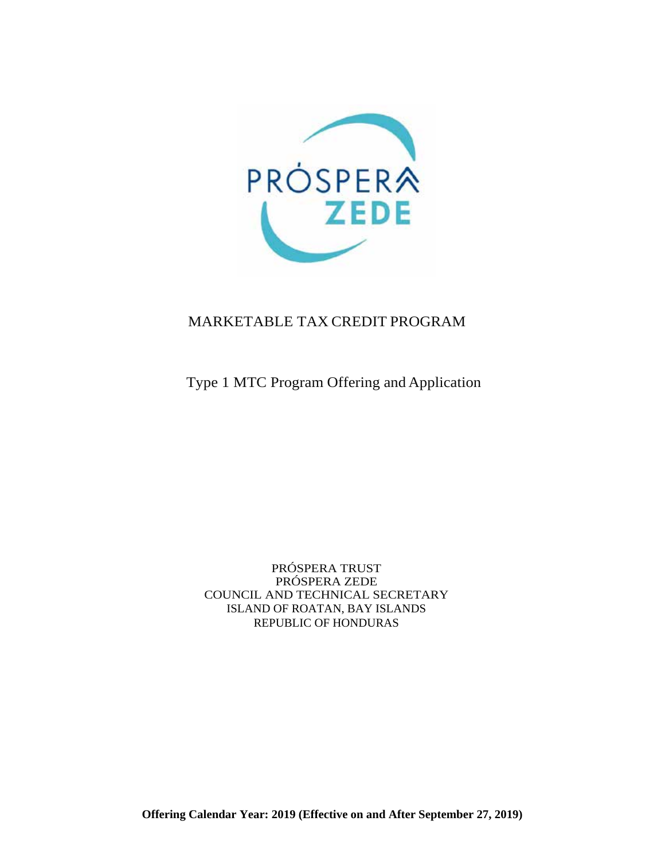

# MARKETABLE TAX CREDIT PROGRAM

Type 1 MTC Program Offering and Application

PRÓSPERA TRUST PRÓSPERA ZEDE COUNCIL AND TECHNICAL SECRETARY ISLAND OF ROATAN, BAY ISLANDS REPUBLIC OF HONDURAS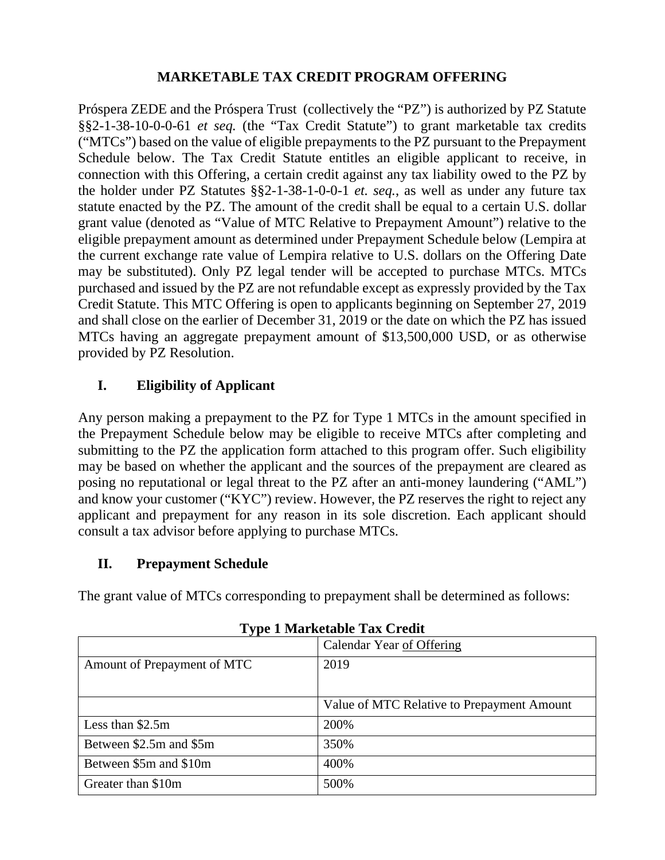## **MARKETABLE TAX CREDIT PROGRAM OFFERING**

Próspera ZEDE and the Próspera Trust (collectively the "PZ") is authorized by PZ Statute §§2-1-38-10-0-0-61 *et seq.* (the "Tax Credit Statute") to grant marketable tax credits ("MTCs") based on the value of eligible prepayments to the PZ pursuant to the Prepayment Schedule below. The Tax Credit Statute entitles an eligible applicant to receive, in connection with this Offering, a certain credit against any tax liability owed to the PZ by the holder under PZ Statutes §§2-1-38-1-0-0-1 *et. seq.*, as well as under any future tax statute enacted by the PZ. The amount of the credit shall be equal to a certain U.S. dollar grant value (denoted as "Value of MTC Relative to Prepayment Amount") relative to the eligible prepayment amount as determined under Prepayment Schedule below (Lempira at the current exchange rate value of Lempira relative to U.S. dollars on the Offering Date may be substituted). Only PZ legal tender will be accepted to purchase MTCs. MTCs purchased and issued by the PZ are not refundable except as expressly provided by the Tax Credit Statute. This MTC Offering is open to applicants beginning on September 27, 2019 and shall close on the earlier of December 31, 2019 or the date on which the PZ has issued MTCs having an aggregate prepayment amount of \$13,500,000 USD, or as otherwise provided by PZ Resolution.

# **I. Eligibility of Applicant**

Any person making a prepayment to the PZ for Type 1 MTCs in the amount specified in the Prepayment Schedule below may be eligible to receive MTCs after completing and submitting to the PZ the application form attached to this program offer. Such eligibility may be based on whether the applicant and the sources of the prepayment are cleared as posing no reputational or legal threat to the PZ after an anti-money laundering ("AML") and know your customer ("KYC") review. However, the PZ reserves the right to reject any applicant and prepayment for any reason in its sole discretion. Each applicant should consult a tax advisor before applying to purchase MTCs.

## **II. Prepayment Schedule**

The grant value of MTCs corresponding to prepayment shall be determined as follows:

|                             | Calendar Year of Offering                  |
|-----------------------------|--------------------------------------------|
| Amount of Prepayment of MTC | 2019                                       |
|                             |                                            |
|                             | Value of MTC Relative to Prepayment Amount |
| Less than \$2.5m            | 200%                                       |
| Between \$2.5m and \$5m     | 350%                                       |
| Between \$5m and \$10m      | 400%                                       |
| Greater than \$10m          | 500%                                       |

**Type 1 Marketable Tax Credit**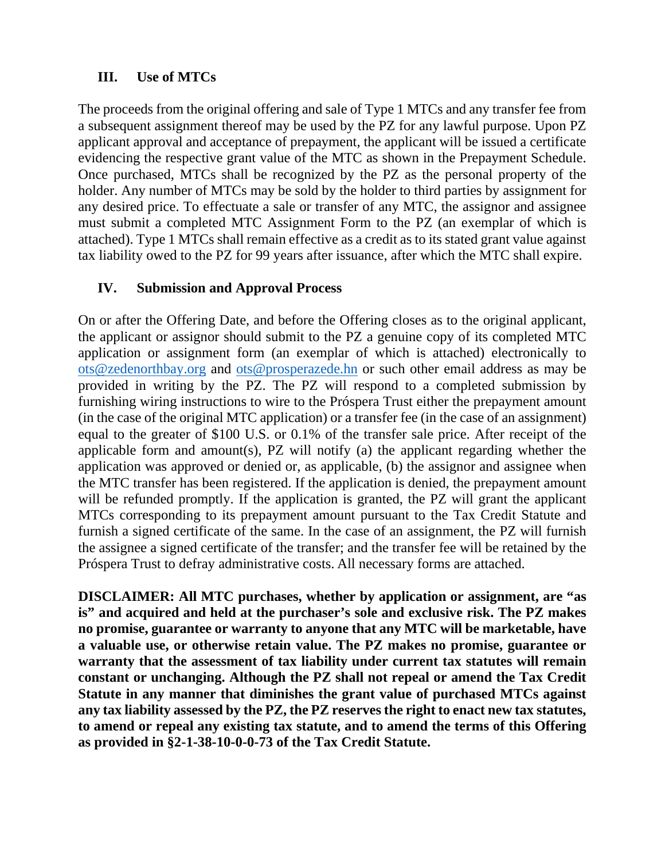# **III. Use of MTCs**

The proceeds from the original offering and sale of Type 1 MTCs and any transfer fee from a subsequent assignment thereof may be used by the PZ for any lawful purpose. Upon PZ applicant approval and acceptance of prepayment, the applicant will be issued a certificate evidencing the respective grant value of the MTC as shown in the Prepayment Schedule. Once purchased, MTCs shall be recognized by the PZ as the personal property of the holder. Any number of MTCs may be sold by the holder to third parties by assignment for any desired price. To effectuate a sale or transfer of any MTC, the assignor and assignee must submit a completed MTC Assignment Form to the PZ (an exemplar of which is attached). Type 1 MTCs shall remain effective as a credit as to its stated grant value against tax liability owed to the PZ for 99 years after issuance, after which the MTC shall expire.

### **IV. Submission and Approval Process**

On or after the Offering Date, and before the Offering closes as to the original applicant, the applicant or assignor should submit to the PZ a genuine copy of its completed MTC application or assignment form (an exemplar of which is attached) electronically to ots@zedenorthbay.org and ots@prosperazede.hn or such other email address as may be provided in writing by the PZ. The PZ will respond to a completed submission by furnishing wiring instructions to wire to the Próspera Trust either the prepayment amount (in the case of the original MTC application) or a transfer fee (in the case of an assignment) equal to the greater of \$100 U.S. or 0.1% of the transfer sale price. After receipt of the applicable form and amount(s), PZ will notify (a) the applicant regarding whether the application was approved or denied or, as applicable, (b) the assignor and assignee when the MTC transfer has been registered. If the application is denied, the prepayment amount will be refunded promptly. If the application is granted, the PZ will grant the applicant MTCs corresponding to its prepayment amount pursuant to the Tax Credit Statute and furnish a signed certificate of the same. In the case of an assignment, the PZ will furnish the assignee a signed certificate of the transfer; and the transfer fee will be retained by the Próspera Trust to defray administrative costs. All necessary forms are attached.

**DISCLAIMER: All MTC purchases, whether by application or assignment, are "as is" and acquired and held at the purchaser's sole and exclusive risk. The PZ makes no promise, guarantee or warranty to anyone that any MTC will be marketable, have a valuable use, or otherwise retain value. The PZ makes no promise, guarantee or warranty that the assessment of tax liability under current tax statutes will remain constant or unchanging. Although the PZ shall not repeal or amend the Tax Credit Statute in any manner that diminishes the grant value of purchased MTCs against any tax liability assessed by the PZ, the PZ reserves the right to enact new tax statutes, to amend or repeal any existing tax statute, and to amend the terms of this Offering as provided in §2-1-38-10-0-0-73 of the Tax Credit Statute.**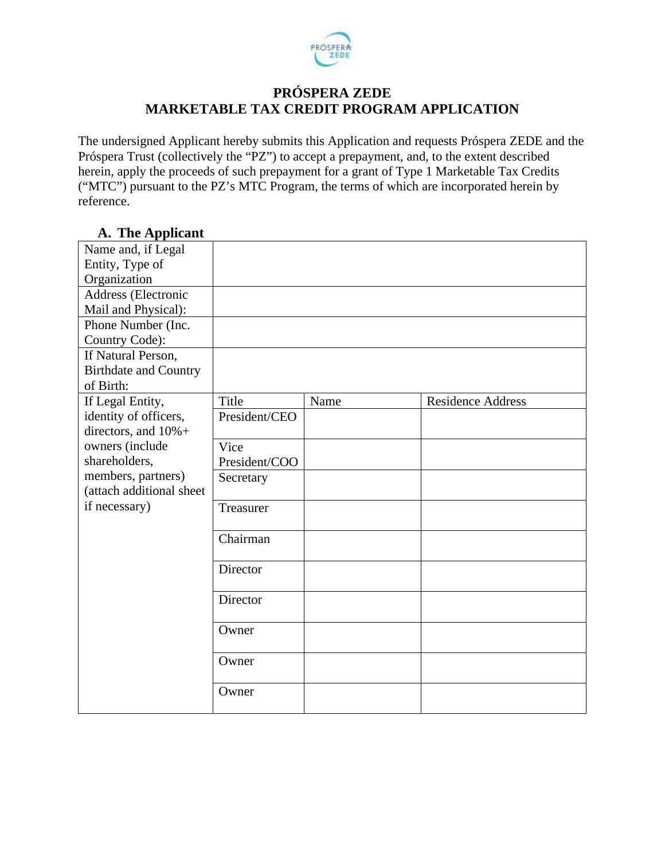

# **PRÓSPERA ZEDE MARKETABLE TAX CREDIT PROGRAM APPLICATION**

The undersigned Applicant hereby submits this Application and requests Próspera ZEDE and the Próspera Trust (collectively the "PZ") to accept a prepayment, and, to the extent described herein, apply the proceeds of such prepayment for a grant of Type 1 Marketable Tax Credits ("MTC") pursuant to the PZ's MTC Program, the terms of which are incorporated herein by reference.

| $\mathbf{r}$ and $\mathbf{r}$ produce |               |      |                          |
|---------------------------------------|---------------|------|--------------------------|
| Name and, if Legal                    |               |      |                          |
| Entity, Type of                       |               |      |                          |
| Organization                          |               |      |                          |
| Address (Electronic                   |               |      |                          |
| Mail and Physical):                   |               |      |                          |
| Phone Number (Inc.                    |               |      |                          |
| Country Code):                        |               |      |                          |
| If Natural Person,                    |               |      |                          |
| <b>Birthdate and Country</b>          |               |      |                          |
| of Birth:                             |               |      |                          |
| If Legal Entity,                      | Title         | Name | <b>Residence Address</b> |
| identity of officers,                 | President/CEO |      |                          |
| directors, and 10%+                   |               |      |                          |
| owners (include                       | Vice          |      |                          |
| shareholders,                         | President/COO |      |                          |
| members, partners)                    | Secretary     |      |                          |
| (attach additional sheet              |               |      |                          |
| if necessary)                         | Treasurer     |      |                          |
|                                       |               |      |                          |
|                                       | Chairman      |      |                          |
|                                       |               |      |                          |
|                                       | Director      |      |                          |
|                                       |               |      |                          |
|                                       | Director      |      |                          |
|                                       | Owner         |      |                          |
|                                       |               |      |                          |
|                                       | Owner         |      |                          |
|                                       |               |      |                          |
|                                       | Owner         |      |                          |
|                                       |               |      |                          |

# **A. The Applicant**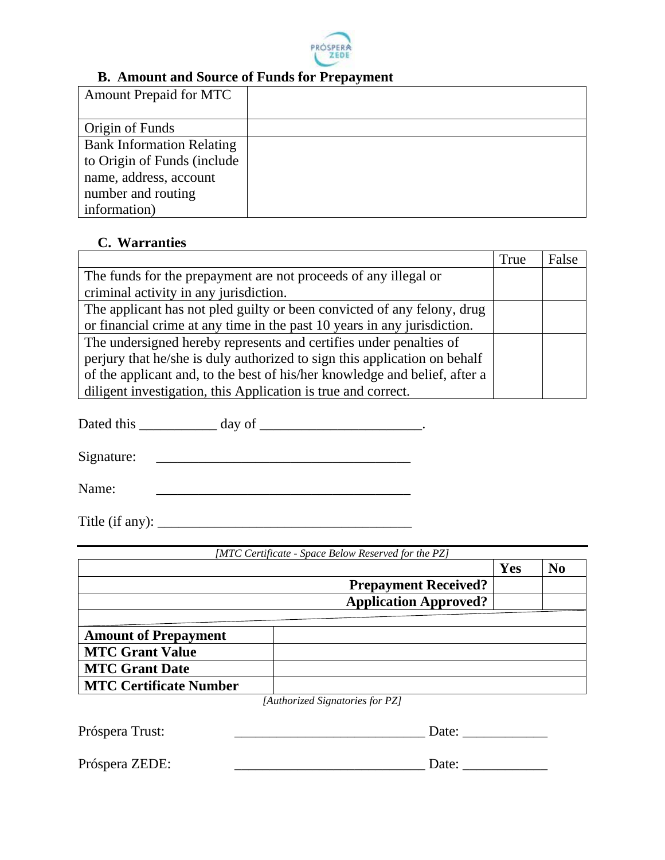

#### **B. Amount and Source of Funds for Prepayment**

| <b>Amount Prepaid for MTC</b>    |  |
|----------------------------------|--|
|                                  |  |
| Origin of Funds                  |  |
| <b>Bank Information Relating</b> |  |
| to Origin of Funds (include      |  |
| name, address, account           |  |
| number and routing               |  |
| information)                     |  |

#### **C. Warranties**

|                                                                            | True | False |
|----------------------------------------------------------------------------|------|-------|
| The funds for the prepayment are not proceeds of any illegal or            |      |       |
| criminal activity in any jurisdiction.                                     |      |       |
| The applicant has not pled guilty or been convicted of any felony, drug    |      |       |
| or financial crime at any time in the past 10 years in any jurisdiction.   |      |       |
| The undersigned hereby represents and certifies under penalties of         |      |       |
| perjury that he/she is duly authorized to sign this application on behalf  |      |       |
| of the applicant and, to the best of his/her knowledge and belief, after a |      |       |
| diligent investigation, this Application is true and correct.              |      |       |

Dated this \_\_\_\_\_\_\_\_\_\_\_ day of \_\_\_\_\_\_\_\_\_\_\_\_\_\_\_\_\_\_\_\_\_.

 $Signature:$ 

Name: \_\_\_\_\_\_\_\_\_\_\_\_\_\_\_\_\_\_\_\_\_\_\_\_\_\_\_\_\_\_\_\_\_\_\_\_

Title (if any):  $\frac{1}{\sqrt{2}}$ 

| [MTC Certificate - Space Below Reserved for the PZ] |                              |     |                |
|-----------------------------------------------------|------------------------------|-----|----------------|
|                                                     |                              | Yes | N <sub>0</sub> |
|                                                     | <b>Prepayment Received?</b>  |     |                |
|                                                     | <b>Application Approved?</b> |     |                |
|                                                     |                              |     |                |
| <b>Amount of Prepayment</b>                         |                              |     |                |
| <b>MTC Grant Value</b>                              |                              |     |                |
| <b>MTC Grant Date</b>                               |                              |     |                |
| <b>MTC Certificate Number</b>                       |                              |     |                |

*[Authorized Signatories for PZ]*

Próspera Trust: \_\_\_\_\_\_\_\_\_\_\_\_\_\_\_\_\_\_\_\_\_\_\_\_\_\_\_ Date: \_\_\_\_\_\_\_\_\_\_\_\_

Próspera ZEDE: \_\_\_\_\_\_\_\_\_\_\_\_\_\_\_\_\_\_\_\_\_\_\_\_\_\_\_ Date: \_\_\_\_\_\_\_\_\_\_\_\_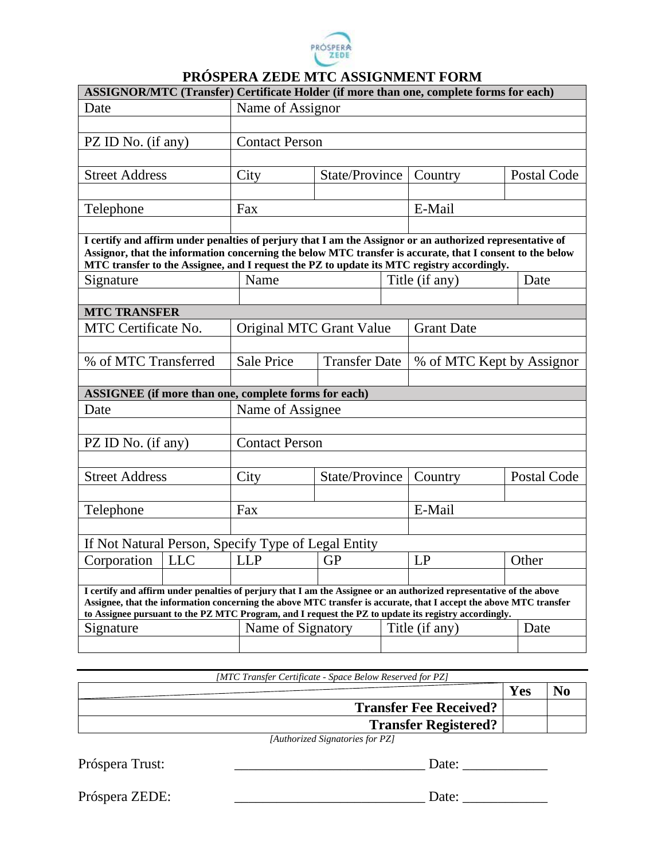

# **PRÓSPERA ZEDE MTC ASSIGNMENT FORM**

|                            |            |                                                      |                      | ASSIGNOR/MTC (Transfer) Certificate Holder (if more than one, complete forms for each)                                                                                                                                                                                                                                                            |             |
|----------------------------|------------|------------------------------------------------------|----------------------|---------------------------------------------------------------------------------------------------------------------------------------------------------------------------------------------------------------------------------------------------------------------------------------------------------------------------------------------------|-------------|
| Date                       |            | Name of Assignor                                     |                      |                                                                                                                                                                                                                                                                                                                                                   |             |
|                            |            |                                                      |                      |                                                                                                                                                                                                                                                                                                                                                   |             |
| PZ ID No. (if any)         |            | <b>Contact Person</b>                                |                      |                                                                                                                                                                                                                                                                                                                                                   |             |
|                            |            |                                                      |                      |                                                                                                                                                                                                                                                                                                                                                   |             |
| <b>Street Address</b>      |            | City                                                 | State/Province       | Country                                                                                                                                                                                                                                                                                                                                           | Postal Code |
|                            |            |                                                      |                      |                                                                                                                                                                                                                                                                                                                                                   |             |
| Telephone                  |            | Fax                                                  |                      | E-Mail                                                                                                                                                                                                                                                                                                                                            |             |
|                            |            |                                                      |                      |                                                                                                                                                                                                                                                                                                                                                   |             |
|                            |            |                                                      |                      | I certify and affirm under penalties of perjury that I am the Assignor or an authorized representative of<br>Assignor, that the information concerning the below MTC transfer is accurate, that I consent to the below<br>MTC transfer to the Assignee, and I request the PZ to update its MTC registry accordingly.                              |             |
| Signature                  |            | Name                                                 |                      | Title (if any)                                                                                                                                                                                                                                                                                                                                    | Date        |
|                            |            |                                                      |                      |                                                                                                                                                                                                                                                                                                                                                   |             |
| <b>MTC TRANSFER</b>        |            |                                                      |                      |                                                                                                                                                                                                                                                                                                                                                   |             |
| <b>MTC</b> Certificate No. |            | Original MTC Grant Value                             |                      | <b>Grant Date</b>                                                                                                                                                                                                                                                                                                                                 |             |
|                            |            |                                                      |                      |                                                                                                                                                                                                                                                                                                                                                   |             |
| % of MTC Transferred       |            | <b>Sale Price</b>                                    | <b>Transfer Date</b> | % of MTC Kept by Assignor                                                                                                                                                                                                                                                                                                                         |             |
|                            |            |                                                      |                      |                                                                                                                                                                                                                                                                                                                                                   |             |
|                            |            | ASSIGNEE (if more than one, complete forms for each) |                      |                                                                                                                                                                                                                                                                                                                                                   |             |
| Date                       |            | Name of Assignee                                     |                      |                                                                                                                                                                                                                                                                                                                                                   |             |
|                            |            |                                                      |                      |                                                                                                                                                                                                                                                                                                                                                   |             |
| PZ ID No. (if any)         |            | <b>Contact Person</b>                                |                      |                                                                                                                                                                                                                                                                                                                                                   |             |
|                            |            |                                                      |                      |                                                                                                                                                                                                                                                                                                                                                   |             |
| <b>Street Address</b>      |            | City                                                 | State/Province       | Country                                                                                                                                                                                                                                                                                                                                           | Postal Code |
|                            |            |                                                      |                      |                                                                                                                                                                                                                                                                                                                                                   |             |
| Telephone                  |            | Fax                                                  |                      | E-Mail                                                                                                                                                                                                                                                                                                                                            |             |
|                            |            |                                                      |                      |                                                                                                                                                                                                                                                                                                                                                   |             |
|                            |            | If Not Natural Person, Specify Type of Legal Entity  |                      |                                                                                                                                                                                                                                                                                                                                                   |             |
| Corporation                | <b>LLC</b> | <b>LLP</b>                                           | <b>GP</b>            | LP                                                                                                                                                                                                                                                                                                                                                | Other       |
|                            |            |                                                      |                      |                                                                                                                                                                                                                                                                                                                                                   |             |
|                            |            |                                                      |                      | I certify and affirm under penalties of perjury that I am the Assignee or an authorized representative of the above<br>Assignee, that the information concerning the above MTC transfer is accurate, that I accept the above MTC transfer<br>to Assignee pursuant to the PZ MTC Program, and I request the PZ to update its registry accordingly. |             |
| Signature                  |            | Name of Signatory                                    |                      | Title (if any)                                                                                                                                                                                                                                                                                                                                    | Date        |
|                            |            |                                                      |                      |                                                                                                                                                                                                                                                                                                                                                   |             |

*[MTC Transfer Certificate - Space Below Reserved for PZ]*

|                                                                                                                   | Yes |  |
|-------------------------------------------------------------------------------------------------------------------|-----|--|
| <b>Transfer Fee Received?</b>                                                                                     |     |  |
| <b>Transfer Registered?</b>                                                                                       |     |  |
| $\begin{bmatrix} 1 & 1 \end{bmatrix}$ $\begin{bmatrix} 1 & 1 \end{bmatrix}$ $\begin{bmatrix} 1 & 1 \end{bmatrix}$ |     |  |

*[Authorized Signatories for PZ]*

Próspera Trust: \_\_\_\_\_\_\_\_\_\_\_\_\_\_\_\_\_\_\_\_\_\_\_\_\_\_\_ Date: \_\_\_\_\_\_\_\_\_\_\_\_

Próspera ZEDE: \_\_\_\_\_\_\_\_\_\_\_\_\_\_\_\_\_\_\_\_\_\_\_\_\_\_\_ Date: \_\_\_\_\_\_\_\_\_\_\_\_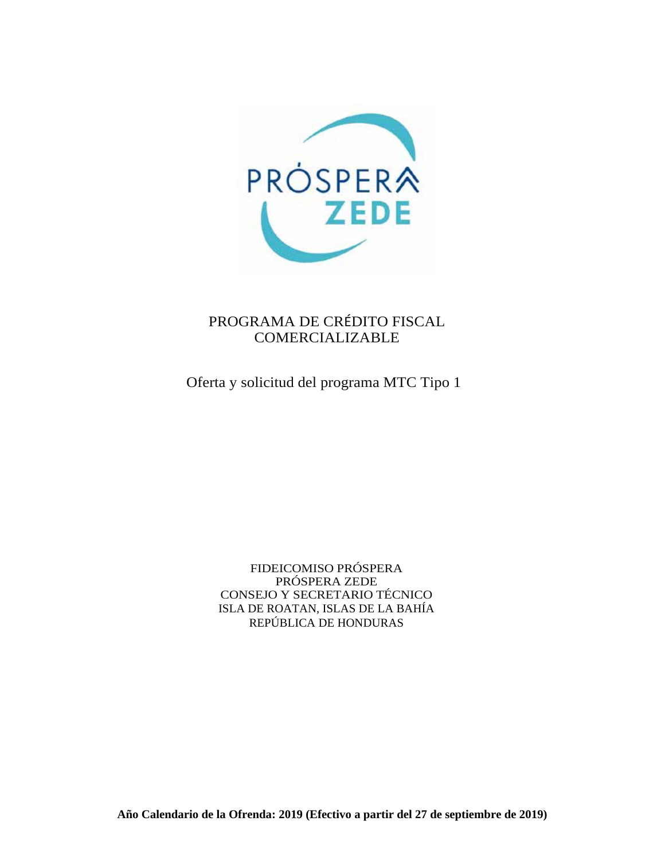

### PROGRAMA DE CRÉDITO FISCAL COMERCIALIZABLE

Oferta y solicitud del programa MTC Tipo 1

FIDEICOMISO PRÓSPERA PRÓSPERA ZEDE CONSEJO Y SECRETARIO TÉCNICO ISLA DE ROATAN, ISLAS DE LA BAHÍA REPÚBLICA DE HONDURAS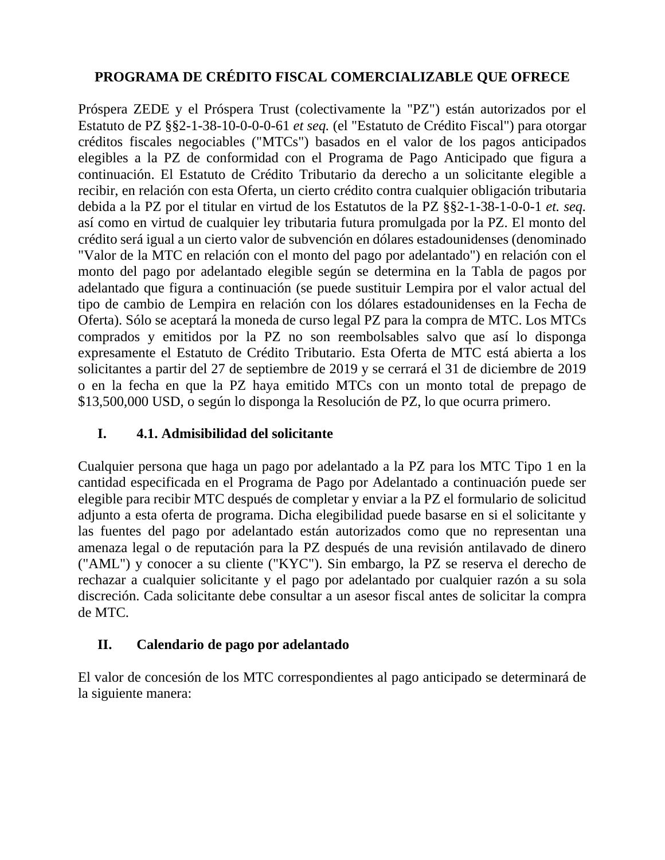# **PROGRAMA DE CRÉDITO FISCAL COMERCIALIZABLE QUE OFRECE**

Próspera ZEDE y el Próspera Trust (colectivamente la "PZ") están autorizados por el Estatuto de PZ §§2-1-38-10-0-0-0-61 *et seq.* (el "Estatuto de Crédito Fiscal") para otorgar créditos fiscales negociables ("MTCs") basados en el valor de los pagos anticipados elegibles a la PZ de conformidad con el Programa de Pago Anticipado que figura a continuación. El Estatuto de Crédito Tributario da derecho a un solicitante elegible a recibir, en relación con esta Oferta, un cierto crédito contra cualquier obligación tributaria debida a la PZ por el titular en virtud de los Estatutos de la PZ §§2-1-38-1-0-0-1 *et. seq.*  así como en virtud de cualquier ley tributaria futura promulgada por la PZ. El monto del crédito será igual a un cierto valor de subvención en dólares estadounidenses (denominado "Valor de la MTC en relación con el monto del pago por adelantado") en relación con el monto del pago por adelantado elegible según se determina en la Tabla de pagos por adelantado que figura a continuación (se puede sustituir Lempira por el valor actual del tipo de cambio de Lempira en relación con los dólares estadounidenses en la Fecha de Oferta). Sólo se aceptará la moneda de curso legal PZ para la compra de MTC. Los MTCs comprados y emitidos por la PZ no son reembolsables salvo que así lo disponga expresamente el Estatuto de Crédito Tributario. Esta Oferta de MTC está abierta a los solicitantes a partir del 27 de septiembre de 2019 y se cerrará el 31 de diciembre de 2019 o en la fecha en que la PZ haya emitido MTCs con un monto total de prepago de \$13,500,000 USD, o según lo disponga la Resolución de PZ, lo que ocurra primero.

### **I. 4.1. Admisibilidad del solicitante**

Cualquier persona que haga un pago por adelantado a la PZ para los MTC Tipo 1 en la cantidad especificada en el Programa de Pago por Adelantado a continuación puede ser elegible para recibir MTC después de completar y enviar a la PZ el formulario de solicitud adjunto a esta oferta de programa. Dicha elegibilidad puede basarse en si el solicitante y las fuentes del pago por adelantado están autorizados como que no representan una amenaza legal o de reputación para la PZ después de una revisión antilavado de dinero ("AML") y conocer a su cliente ("KYC"). Sin embargo, la PZ se reserva el derecho de rechazar a cualquier solicitante y el pago por adelantado por cualquier razón a su sola discreción. Cada solicitante debe consultar a un asesor fiscal antes de solicitar la compra de MTC.

#### **II. Calendario de pago por adelantado**

El valor de concesión de los MTC correspondientes al pago anticipado se determinará de la siguiente manera: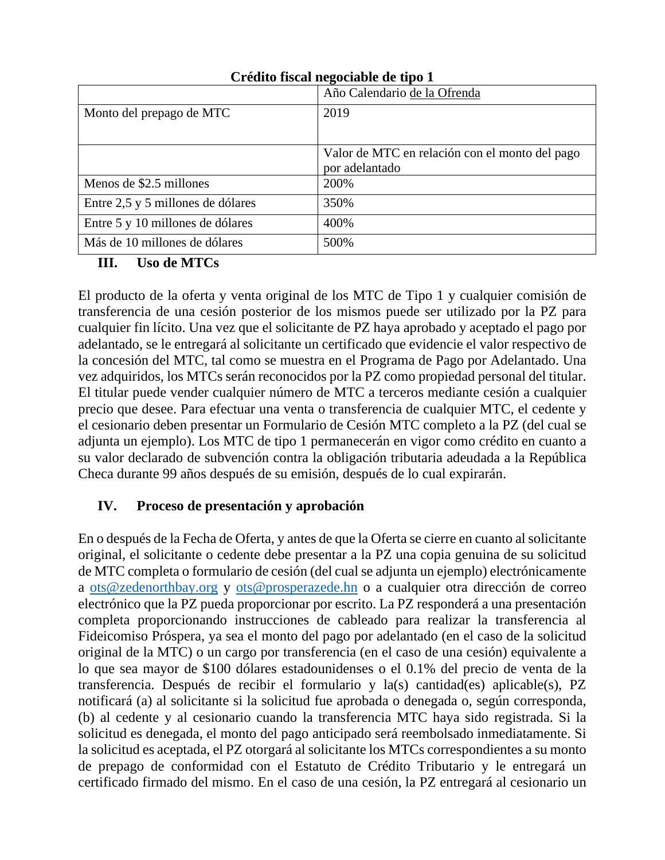|                                   | Año Calendario de la Ofrenda                   |
|-----------------------------------|------------------------------------------------|
| Monto del prepago de MTC          | 2019                                           |
|                                   |                                                |
|                                   | Valor de MTC en relación con el monto del pago |
|                                   | por adelantado                                 |
| Menos de \$2.5 millones           | 200%                                           |
| Entre 2,5 y 5 millones de dólares | 350%                                           |
| Entre 5 y 10 millones de dólares  | 400%                                           |
| Más de 10 millones de dólares     | 500%                                           |

### **Crédito fiscal negociable de tipo 1**

### **III. Uso de MTCs**

El producto de la oferta y venta original de los MTC de Tipo 1 y cualquier comisión de transferencia de una cesión posterior de los mismos puede ser utilizado por la PZ para cualquier fin lícito. Una vez que el solicitante de PZ haya aprobado y aceptado el pago por adelantado, se le entregará al solicitante un certificado que evidencie el valor respectivo de la concesión del MTC, tal como se muestra en el Programa de Pago por Adelantado. Una vez adquiridos, los MTCs serán reconocidos por la PZ como propiedad personal del titular. El titular puede vender cualquier número de MTC a terceros mediante cesión a cualquier precio que desee. Para efectuar una venta o transferencia de cualquier MTC, el cedente y el cesionario deben presentar un Formulario de Cesión MTC completo a la PZ (del cual se adjunta un ejemplo). Los MTC de tipo 1 permanecerán en vigor como crédito en cuanto a su valor declarado de subvención contra la obligación tributaria adeudada a la República Checa durante 99 años después de su emisión, después de lo cual expirarán.

## **IV. Proceso de presentación y aprobación**

En o después de la Fecha de Oferta, y antes de que la Oferta se cierre en cuanto al solicitante original, el solicitante o cedente debe presentar a la PZ una copia genuina de su solicitud de MTC completa o formulario de cesión (del cual se adjunta un ejemplo) electrónicamente a ots@zedenorthbay.org y ots@prosperazede.hn o a cualquier otra dirección de correo electrónico que la PZ pueda proporcionar por escrito. La PZ responderá a una presentación completa proporcionando instrucciones de cableado para realizar la transferencia al Fideicomiso Próspera, ya sea el monto del pago por adelantado (en el caso de la solicitud original de la MTC) o un cargo por transferencia (en el caso de una cesión) equivalente a lo que sea mayor de \$100 dólares estadounidenses o el 0.1% del precio de venta de la transferencia. Después de recibir el formulario y la(s) cantidad(es) aplicable(s), PZ notificará (a) al solicitante si la solicitud fue aprobada o denegada o, según corresponda, (b) al cedente y al cesionario cuando la transferencia MTC haya sido registrada. Si la solicitud es denegada, el monto del pago anticipado será reembolsado inmediatamente. Si la solicitud es aceptada, el PZ otorgará al solicitante los MTCs correspondientes a su monto de prepago de conformidad con el Estatuto de Crédito Tributario y le entregará un certificado firmado del mismo. En el caso de una cesión, la PZ entregará al cesionario un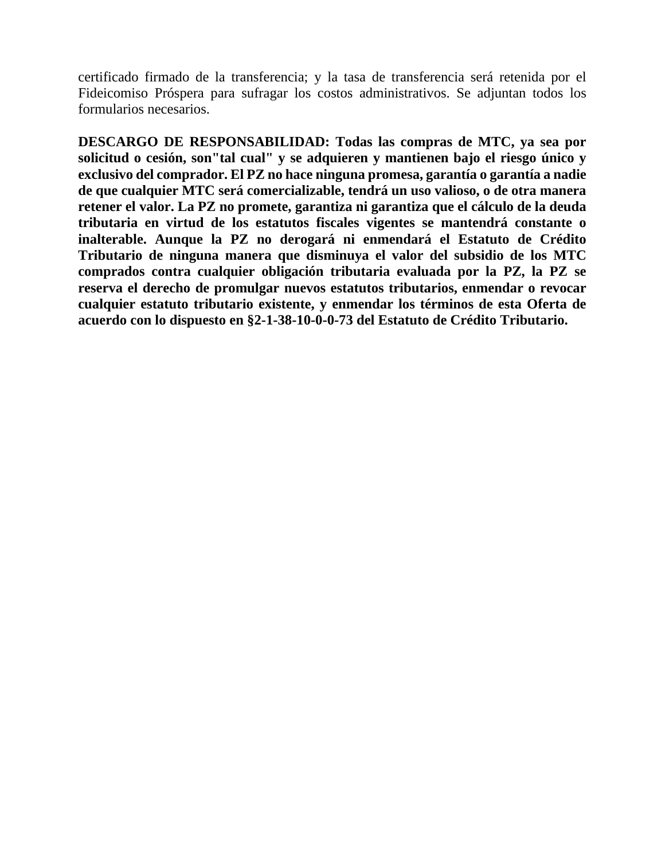certificado firmado de la transferencia; y la tasa de transferencia será retenida por el Fideicomiso Próspera para sufragar los costos administrativos. Se adjuntan todos los formularios necesarios.

**DESCARGO DE RESPONSABILIDAD: Todas las compras de MTC, ya sea por solicitud o cesión, son"tal cual" y se adquieren y mantienen bajo el riesgo único y exclusivo del comprador. El PZ no hace ninguna promesa, garantía o garantía a nadie de que cualquier MTC será comercializable, tendrá un uso valioso, o de otra manera retener el valor. La PZ no promete, garantiza ni garantiza que el cálculo de la deuda tributaria en virtud de los estatutos fiscales vigentes se mantendrá constante o inalterable. Aunque la PZ no derogará ni enmendará el Estatuto de Crédito Tributario de ninguna manera que disminuya el valor del subsidio de los MTC comprados contra cualquier obligación tributaria evaluada por la PZ, la PZ se reserva el derecho de promulgar nuevos estatutos tributarios, enmendar o revocar cualquier estatuto tributario existente, y enmendar los términos de esta Oferta de acuerdo con lo dispuesto en §2-1-38-10-0-0-73 del Estatuto de Crédito Tributario.**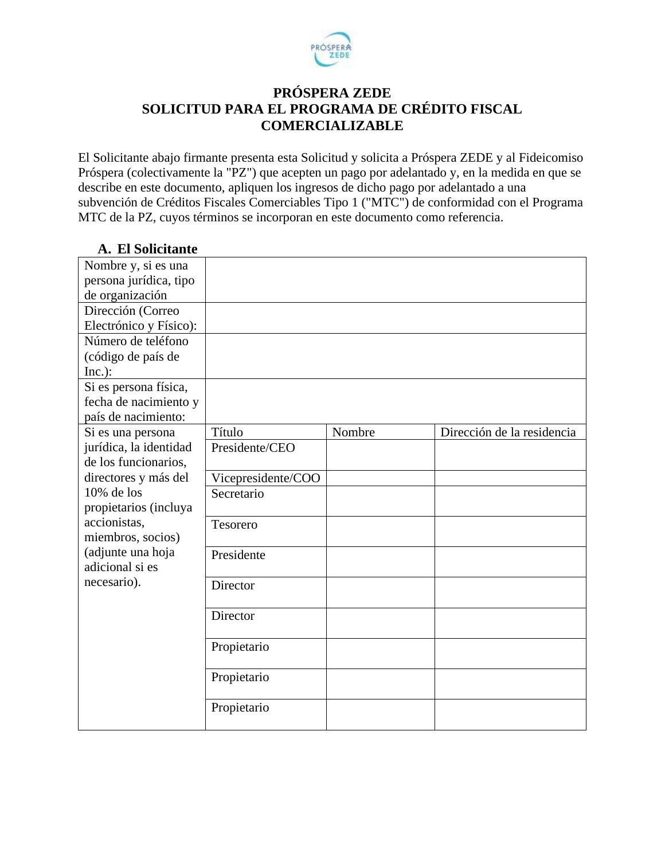

## **PRÓSPERA ZEDE SOLICITUD PARA EL PROGRAMA DE CRÉDITO FISCAL COMERCIALIZABLE**

El Solicitante abajo firmante presenta esta Solicitud y solicita a Próspera ZEDE y al Fideicomiso Próspera (colectivamente la "PZ") que acepten un pago por adelantado y, en la medida en que se describe en este documento, apliquen los ingresos de dicho pago por adelantado a una subvención de Créditos Fiscales Comerciables Tipo 1 ("MTC") de conformidad con el Programa MTC de la PZ, cuyos términos se incorporan en este documento como referencia.

| А. ет бонскаше         |                    |        |                            |
|------------------------|--------------------|--------|----------------------------|
| Nombre y, si es una    |                    |        |                            |
| persona jurídica, tipo |                    |        |                            |
| de organización        |                    |        |                            |
| Dirección (Correo      |                    |        |                            |
| Electrónico y Físico): |                    |        |                            |
| Número de teléfono     |                    |        |                            |
| (código de país de     |                    |        |                            |
| $Inc.$ ):              |                    |        |                            |
| Si es persona física,  |                    |        |                            |
| fecha de nacimiento y  |                    |        |                            |
| país de nacimiento:    |                    |        |                            |
| Si es una persona      | Título             | Nombre | Dirección de la residencia |
| jurídica, la identidad | Presidente/CEO     |        |                            |
| de los funcionarios,   |                    |        |                            |
| directores y más del   | Vicepresidente/COO |        |                            |
| 10% de los             | Secretario         |        |                            |
| propietarios (incluya  |                    |        |                            |
| accionistas,           | Tesorero           |        |                            |
| miembros, socios)      |                    |        |                            |
| (adjunte una hoja      | Presidente         |        |                            |
| adicional si es        |                    |        |                            |
| necesario).            | Director           |        |                            |
|                        |                    |        |                            |
|                        | Director           |        |                            |
|                        |                    |        |                            |
|                        | Propietario        |        |                            |
|                        |                    |        |                            |
|                        | Propietario        |        |                            |
|                        |                    |        |                            |
|                        | Propietario        |        |                            |
|                        |                    |        |                            |

# **A. El Solicitante**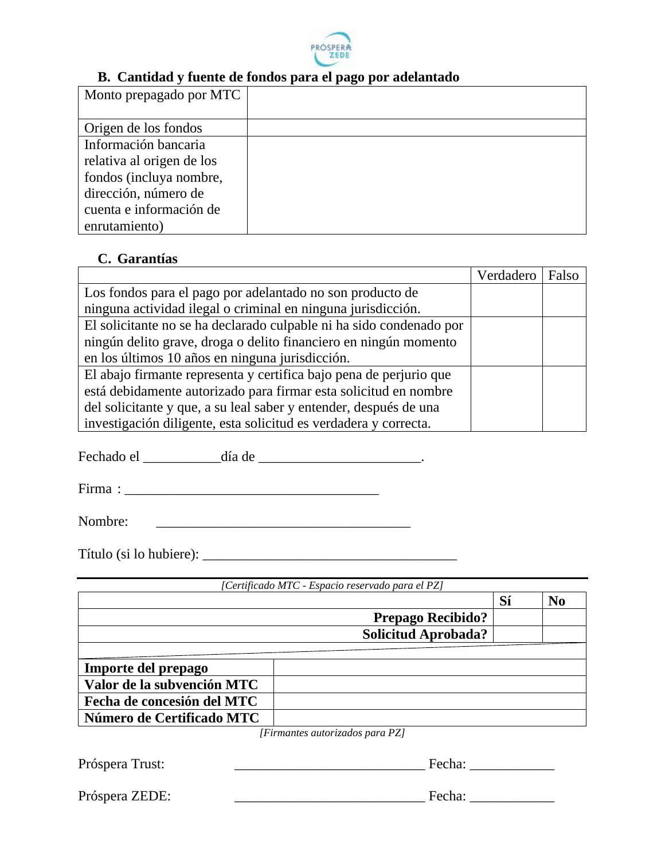

#### **B. Cantidad y fuente de fondos para el pago por adelantado**

| Origen de los fondos<br>Información bancaria<br>relativa al origen de los | Monto prepagado por MTC |  |
|---------------------------------------------------------------------------|-------------------------|--|
|                                                                           |                         |  |
|                                                                           |                         |  |
|                                                                           |                         |  |
|                                                                           |                         |  |
|                                                                           | fondos (incluya nombre, |  |
| dirección, número de                                                      |                         |  |
| cuenta e información de                                                   |                         |  |
| enrutamiento)                                                             |                         |  |

### **C. Garantías**

|                                                                     | Verdadero | Falso |
|---------------------------------------------------------------------|-----------|-------|
| Los fondos para el pago por adelantado no son producto de           |           |       |
| ninguna actividad ilegal o criminal en ninguna jurisdicción.        |           |       |
| El solicitante no se ha declarado culpable ni ha sido condenado por |           |       |
| ningún delito grave, droga o delito financiero en ningún momento    |           |       |
| en los últimos 10 años en ninguna jurisdicción.                     |           |       |
| El abajo firmante representa y certifica bajo pena de perjurio que  |           |       |
| está debidamente autorizado para firmar esta solicitud en nombre    |           |       |
| del solicitante y que, a su leal saber y entender, después de una   |           |       |
| investigación diligente, esta solicitud es verdadera y correcta.    |           |       |

Fechado el \_\_\_\_\_\_\_\_\_\_\_día de \_\_\_\_\_\_\_\_\_\_\_\_\_\_\_\_\_\_\_\_\_\_\_.

Firma : \_\_\_\_\_\_\_\_\_\_\_\_\_\_\_\_\_\_\_\_\_\_\_\_\_\_\_\_\_\_\_\_\_\_\_\_

Nombre: \_\_\_\_\_\_\_\_\_\_\_\_\_\_\_\_\_\_\_\_\_\_\_\_\_\_\_\_\_\_\_\_\_\_\_\_

Título (si lo hubiere): \_\_\_\_\_\_\_\_\_\_\_\_\_\_\_\_\_\_\_\_\_\_\_\_\_\_\_\_\_\_\_\_\_\_\_\_

|                            | Sí                         | N <sub>0</sub> |
|----------------------------|----------------------------|----------------|
|                            | <b>Prepago Recibido?</b>   |                |
|                            | <b>Solicitud Aprobada?</b> |                |
|                            |                            |                |
|                            |                            |                |
| Importe del prepago        |                            |                |
| Valor de la subvención MTC |                            |                |
| Fecha de concesión del MTC |                            |                |

*[Firmantes autorizados para PZ]*

Próspera Trust: <br>
Próspera Trust: <br>
Próspera Trust: <br>
Prospera Trust: <br>
Prospera Trust: <br>
Pecha: <br>
Pecha: <br>
Pecha: <br>
Pecha: <br>
Pecha: <br>
Pecha: <br>
Pecha: <br>
Pecha: <br>
Pecha: <br>
Pecha: <br>
Pecha: <br>
Pecha: <br>
Pecha: <br>
Pecha: <br>
Pecha:

Próspera ZEDE: \_\_\_\_\_\_\_\_\_\_\_\_\_\_\_\_\_\_\_\_\_\_\_\_\_\_\_ Fecha: \_\_\_\_\_\_\_\_\_\_\_\_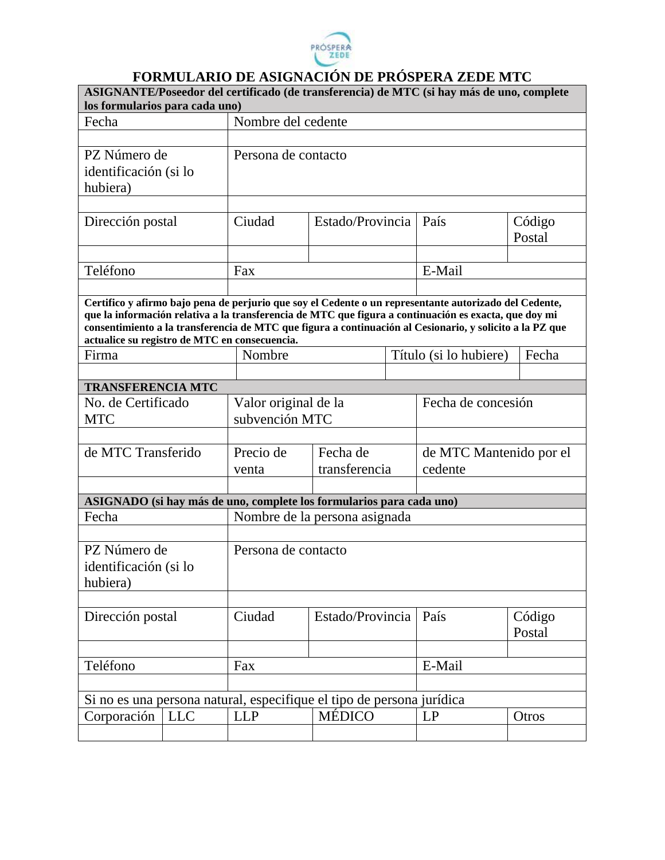

# **FORMULARIO DE ASIGNACIÓN DE PRÓSPERA ZEDE MTC**

| ASIGNANTE/Poseedor del certificado (de transferencia) de MTC (si hay más de uno, complete<br>los formularios para cada uno) |                               |                      |                  |                        |                                                                                                                                                                                                                   |        |  |  |
|-----------------------------------------------------------------------------------------------------------------------------|-------------------------------|----------------------|------------------|------------------------|-------------------------------------------------------------------------------------------------------------------------------------------------------------------------------------------------------------------|--------|--|--|
| Fecha                                                                                                                       |                               | Nombre del cedente   |                  |                        |                                                                                                                                                                                                                   |        |  |  |
|                                                                                                                             |                               |                      |                  |                        |                                                                                                                                                                                                                   |        |  |  |
| PZ Número de                                                                                                                |                               | Persona de contacto  |                  |                        |                                                                                                                                                                                                                   |        |  |  |
| identificación (si lo                                                                                                       |                               |                      |                  |                        |                                                                                                                                                                                                                   |        |  |  |
| hubiera)                                                                                                                    |                               |                      |                  |                        |                                                                                                                                                                                                                   |        |  |  |
|                                                                                                                             |                               |                      |                  |                        |                                                                                                                                                                                                                   |        |  |  |
| Dirección postal                                                                                                            |                               | Ciudad               | Estado/Provincia |                        | País                                                                                                                                                                                                              | Código |  |  |
|                                                                                                                             |                               |                      |                  |                        |                                                                                                                                                                                                                   | Postal |  |  |
|                                                                                                                             |                               |                      |                  |                        |                                                                                                                                                                                                                   |        |  |  |
| Teléfono                                                                                                                    |                               | Fax                  |                  | E-Mail                 |                                                                                                                                                                                                                   |        |  |  |
|                                                                                                                             |                               |                      |                  |                        |                                                                                                                                                                                                                   |        |  |  |
|                                                                                                                             |                               |                      |                  |                        | Certifico y afirmo bajo pena de perjurio que soy el Cedente o un representante autorizado del Cedente,                                                                                                            |        |  |  |
|                                                                                                                             |                               |                      |                  |                        | que la información relativa a la transferencia de MTC que figura a continuación es exacta, que doy mi<br>consentimiento a la transferencia de MTC que figura a continuación al Cesionario, y solicito a la PZ que |        |  |  |
| actualice su registro de MTC en consecuencia.                                                                               |                               |                      |                  |                        |                                                                                                                                                                                                                   |        |  |  |
| Firma                                                                                                                       | Nombre                        |                      |                  | Título (si lo hubiere) | Fecha                                                                                                                                                                                                             |        |  |  |
|                                                                                                                             |                               |                      |                  |                        |                                                                                                                                                                                                                   |        |  |  |
| <b>TRANSFERENCIA MTC</b>                                                                                                    |                               |                      |                  |                        |                                                                                                                                                                                                                   |        |  |  |
| No. de Certificado                                                                                                          |                               | Valor original de la |                  |                        | Fecha de concesión                                                                                                                                                                                                |        |  |  |
| <b>MTC</b>                                                                                                                  |                               | subvención MTC       |                  |                        |                                                                                                                                                                                                                   |        |  |  |
|                                                                                                                             |                               |                      |                  |                        |                                                                                                                                                                                                                   |        |  |  |
| de MTC Transferido                                                                                                          |                               | Precio de            | Fecha de         |                        | de MTC Mantenido por el                                                                                                                                                                                           |        |  |  |
|                                                                                                                             |                               | venta                | transferencia    |                        | cedente                                                                                                                                                                                                           |        |  |  |
|                                                                                                                             |                               |                      |                  |                        |                                                                                                                                                                                                                   |        |  |  |
| ASIGNADO (si hay más de uno, complete los formularios para cada uno)                                                        |                               |                      |                  |                        |                                                                                                                                                                                                                   |        |  |  |
| Fecha                                                                                                                       | Nombre de la persona asignada |                      |                  |                        |                                                                                                                                                                                                                   |        |  |  |
|                                                                                                                             |                               |                      |                  |                        |                                                                                                                                                                                                                   |        |  |  |
| PZ Número de                                                                                                                |                               | Persona de contacto  |                  |                        |                                                                                                                                                                                                                   |        |  |  |
| identificación (si lo                                                                                                       |                               |                      |                  |                        |                                                                                                                                                                                                                   |        |  |  |
| hubiera)                                                                                                                    |                               |                      |                  |                        |                                                                                                                                                                                                                   |        |  |  |
|                                                                                                                             |                               |                      |                  |                        |                                                                                                                                                                                                                   |        |  |  |
| Dirección postal                                                                                                            |                               | Ciudad               | Estado/Provincia |                        | País                                                                                                                                                                                                              | Código |  |  |
|                                                                                                                             |                               |                      |                  |                        |                                                                                                                                                                                                                   | Postal |  |  |
|                                                                                                                             |                               |                      |                  |                        |                                                                                                                                                                                                                   |        |  |  |
| Teléfono                                                                                                                    |                               | Fax                  |                  |                        | E-Mail                                                                                                                                                                                                            |        |  |  |
|                                                                                                                             |                               |                      |                  |                        |                                                                                                                                                                                                                   |        |  |  |
| Si no es una persona natural, especifique el tipo de persona jurídica                                                       |                               |                      |                  |                        |                                                                                                                                                                                                                   |        |  |  |
| Corporación                                                                                                                 | <b>LLC</b>                    | <b>LLP</b>           | <b>MÉDICO</b>    |                        | LP                                                                                                                                                                                                                | Otros  |  |  |
|                                                                                                                             |                               |                      |                  |                        |                                                                                                                                                                                                                   |        |  |  |